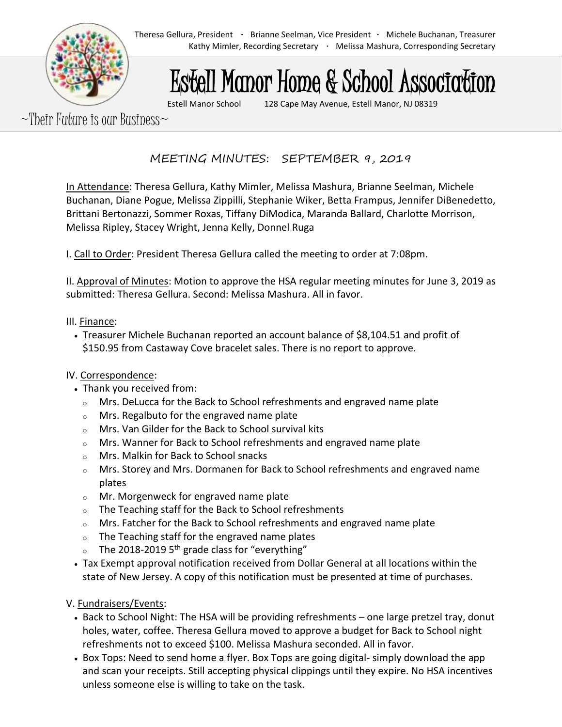# Estell Manor Home & School Association

Estell Manor School 128 Cape May Avenue, Estell Manor, NJ 08319

 $\sim$ Their Future is our Business $\sim$ 

MEETING MINUTES: SEPTEMBER 9, 2019

In Attendance: Theresa Gellura, Kathy Mimler, Melissa Mashura, Brianne Seelman, Michele Buchanan, Diane Pogue, Melissa Zippilli, Stephanie Wiker, Betta Frampus, Jennifer DiBenedetto, Brittani Bertonazzi, Sommer Roxas, Tiffany DiModica, Maranda Ballard, Charlotte Morrison, Melissa Ripley, Stacey Wright, Jenna Kelly, Donnel Ruga

I. Call to Order: President Theresa Gellura called the meeting to order at 7:08pm.

II. Approval of Minutes: Motion to approve the HSA regular meeting minutes for June 3, 2019 as submitted: Theresa Gellura. Second: Melissa Mashura. All in favor.

## III. Finance:

• Treasurer Michele Buchanan reported an account balance of \$8,104.51 and profit of \$150.95 from Castaway Cove bracelet sales. There is no report to approve.

# IV. Correspondence:

- Thank you received from:
	- $\circ$  Mrs. DeLucca for the Back to School refreshments and engraved name plate
	- <sup>o</sup> Mrs. Regalbuto for the engraved name plate
	- <sup>o</sup> Mrs. Van Gilder for the Back to School survival kits
	- $\circ$  Mrs. Wanner for Back to School refreshments and engraved name plate
	- <sup>o</sup> Mrs. Malkin for Back to School snacks
	- <sup>o</sup> Mrs. Storey and Mrs. Dormanen for Back to School refreshments and engraved name plates
	- <sup>o</sup> Mr. Morgenweck for engraved name plate
	- <sup>o</sup> The Teaching staff for the Back to School refreshments
	- $\circ$  Mrs. Fatcher for the Back to School refreshments and engraved name plate
	- $\circ$  The Teaching staff for the engraved name plates
	- $\circ$  The 2018-2019 5<sup>th</sup> grade class for "everything"
- Tax Exempt approval notification received from Dollar General at all locations within the state of New Jersey. A copy of this notification must be presented at time of purchases.

V. Fundraisers/Events:

- Back to School Night: The HSA will be providing refreshments one large pretzel tray, donut holes, water, coffee. Theresa Gellura moved to approve a budget for Back to School night refreshments not to exceed \$100. Melissa Mashura seconded. All in favor.
- Box Tops: Need to send home a flyer. Box Tops are going digital- simply download the app and scan your receipts. Still accepting physical clippings until they expire. No HSA incentives unless someone else is willing to take on the task.